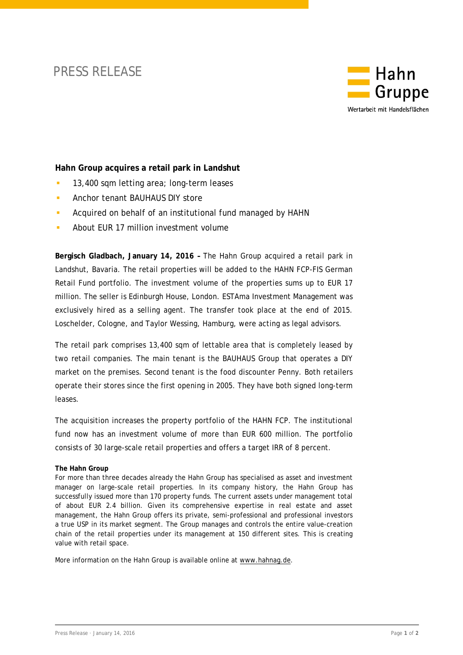## PRESS RELEASE



## **Hahn Group acquires a retail park in Landshut**

- **13,400 sqm letting area; long-term leases**
- **Anchor tenant BAUHAUS DIY store**
- **Acquired on behalf of an institutional fund managed by HAHN**
- About EUR 17 million investment volume

**Bergisch Gladbach, January 14, 2016 –** The Hahn Group acquired a retail park in Landshut, Bavaria. The retail properties will be added to the HAHN FCP-FIS German Retail Fund portfolio. The investment volume of the properties sums up to EUR 17 million. The seller is Edinburgh House, London. ESTAma Investment Management was exclusively hired as a selling agent. The transfer took place at the end of 2015. Loschelder, Cologne, and Taylor Wessing, Hamburg, were acting as legal advisors.

The retail park comprises 13,400 sqm of lettable area that is completely leased by two retail companies. The main tenant is the BAUHAUS Group that operates a DIY market on the premises. Second tenant is the food discounter Penny. Both retailers operate their stores since the first opening in 2005. They have both signed long-term leases.

The acquisition increases the property portfolio of the HAHN FCP. The institutional fund now has an investment volume of more than EUR 600 million. The portfolio consists of 30 large-scale retail properties and offers a target IRR of 8 percent.

## **The Hahn Group**

For more than three decades already the Hahn Group has specialised as asset and investment manager on large-scale retail properties. In its company history, the Hahn Group has successfully issued more than 170 property funds. The current assets under management total of about EUR 2.4 billion. Given its comprehensive expertise in real estate and asset management, the Hahn Group offers its private, semi-professional and professional investors a true USP in its market segment. The Group manages and controls the entire value-creation chain of the retail properties under its management at 150 different sites. This is creating value with retail space.

More information on the Hahn Group is available online at [www.hahnag.de.](http://www.hahnag.de/)